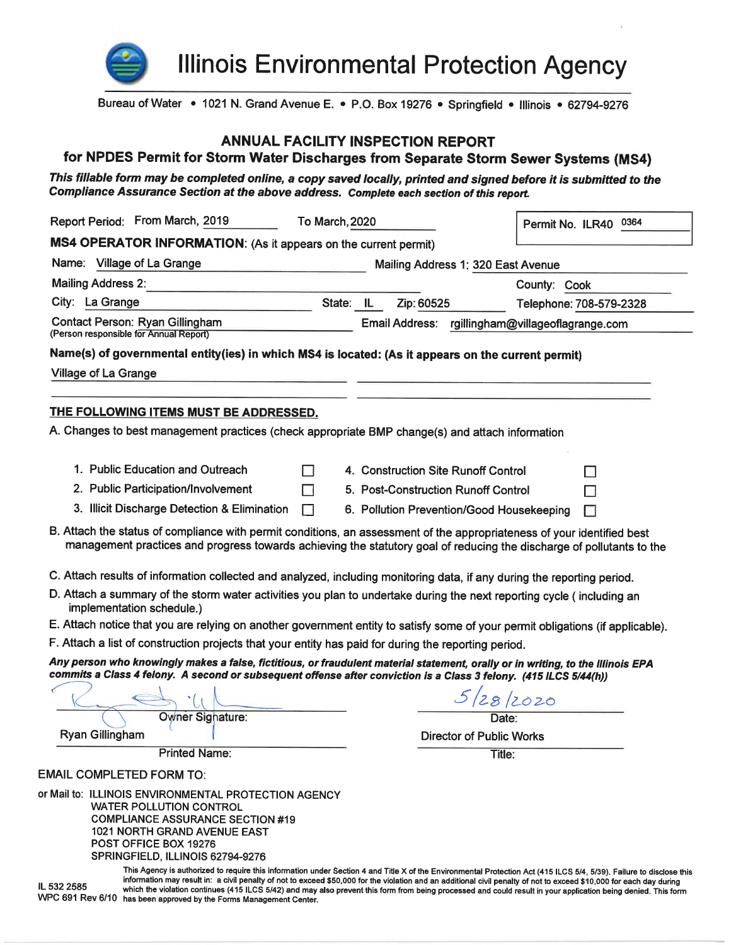

**Illinois Environmental Protection Agency** 

Bureau of Water • 1021 N. Grand Avenue E. • P.O. Box 19276 • Springfield • Illinois • 62794-9276

#### **ANNUAL FACILITY INSPECTION REPORT**

## for NPDES Permit for Storm Water Discharges from Separate Storm Sewer Systems (MS4)

This fillable form may be completed online, a copy saved locally, printed and signed before it is submitted to the Compliance Assurance Section at the above address. Complete each section of this report.

| Report Period: From March, 2019                                                                                                                                                                                                                                               | To March, 2020 |                                           | Permit No. ILR40 0364                                                                                                                                              |  |
|-------------------------------------------------------------------------------------------------------------------------------------------------------------------------------------------------------------------------------------------------------------------------------|----------------|-------------------------------------------|--------------------------------------------------------------------------------------------------------------------------------------------------------------------|--|
| MS4 OPERATOR INFORMATION: (As it appears on the current permit)                                                                                                                                                                                                               |                |                                           |                                                                                                                                                                    |  |
| Name: Village of La Grange                                                                                                                                                                                                                                                    |                | Mailing Address 1: 320 East Avenue        |                                                                                                                                                                    |  |
| <b>Mailing Address 2:</b>                                                                                                                                                                                                                                                     |                |                                           | County: Cook                                                                                                                                                       |  |
| City: La Grange                                                                                                                                                                                                                                                               | State: IL      | Zip: 60525                                | Telephone: 708-579-2328                                                                                                                                            |  |
| Contact Person: Ryan Gillingham<br>(Person responsible for Annual Report)                                                                                                                                                                                                     |                |                                           | Email Address: rgillingham@villageoflagrange.com                                                                                                                   |  |
| Name(s) of governmental entity(ies) in which MS4 is located: (As it appears on the current permit)                                                                                                                                                                            |                |                                           |                                                                                                                                                                    |  |
| Village of La Grange                                                                                                                                                                                                                                                          |                |                                           |                                                                                                                                                                    |  |
|                                                                                                                                                                                                                                                                               |                |                                           |                                                                                                                                                                    |  |
| THE FOLLOWING ITEMS MUST BE ADDRESSED.                                                                                                                                                                                                                                        |                |                                           |                                                                                                                                                                    |  |
| A. Changes to best management practices (check appropriate BMP change(s) and attach information                                                                                                                                                                               |                |                                           |                                                                                                                                                                    |  |
|                                                                                                                                                                                                                                                                               |                |                                           |                                                                                                                                                                    |  |
| 1. Public Education and Outreach                                                                                                                                                                                                                                              | - 1            | 4. Construction Site Runoff Control       | n i                                                                                                                                                                |  |
| 2. Public Participation/Involvement                                                                                                                                                                                                                                           | $\Box$         | 5. Post-Construction Runoff Control       |                                                                                                                                                                    |  |
| 3. Illicit Discharge Detection & Elimination                                                                                                                                                                                                                                  | П              | 6. Pollution Prevention/Good Housekeeping | П                                                                                                                                                                  |  |
| C. Attach results of information collected and analyzed, including monitoring data, if any during the reporting period.<br>D. Attach a summary of the storm water activities you plan to undertake during the next reporting cycle (including an<br>implementation schedule.) |                |                                           |                                                                                                                                                                    |  |
| E. Attach notice that you are relying on another government entity to satisfy some of your permit obligations (if applicable).                                                                                                                                                |                |                                           |                                                                                                                                                                    |  |
| F. Attach a list of construction projects that your entity has paid for during the reporting period.                                                                                                                                                                          |                |                                           |                                                                                                                                                                    |  |
| Any person who knowingly makes a false, fictitious, or fraudulent material statement, orally or in writing, to the Illinois EPA<br>commits a Class 4 felony. A second or subsequent offense after conviction is a Class 3 felony. (415 ILCS 5/44(h))                          |                |                                           |                                                                                                                                                                    |  |
|                                                                                                                                                                                                                                                                               |                |                                           | 5/28/2020                                                                                                                                                          |  |
| Owner Sighature:                                                                                                                                                                                                                                                              |                |                                           | Date:                                                                                                                                                              |  |
| <b>Ryan Gillingham</b>                                                                                                                                                                                                                                                        |                |                                           | <b>Director of Public Works</b>                                                                                                                                    |  |
| <b>Printed Name:</b>                                                                                                                                                                                                                                                          |                |                                           | Title:                                                                                                                                                             |  |
| <b>EMAIL COMPLETED FORM TO:</b>                                                                                                                                                                                                                                               |                |                                           |                                                                                                                                                                    |  |
| or Mail to: ILLINOIS ENVIRONMENTAL PROTECTION AGENCY<br><b>WATER POLLUTION CONTROL</b><br><b>COMPLIANCE ASSURANCE SECTION #19</b><br><b>1021 NORTH GRAND AVENUE EAST</b><br>POST OFFICE BOX 19276<br>SPRINGFIELD. ILLINOIS 62794-9276                                         |                |                                           | This Agency is authorized to require this information under Section 4 and Title X of the Environmental Protection Act (415 ILCS 5/4, 5/39). Failure to disclose th |  |

information may result in: a civil penalty of not to exceed \$50,000 for the violation and an additional civil penalty of not to exceed \$10,000 for each day during IL 532 2585 which the violation continues (415 ILCS 5/42) and may also prevent this form from being processed and could result in your application being denied. This form WPC 691 Rev 6/10 has been approved by the Forms Management Center.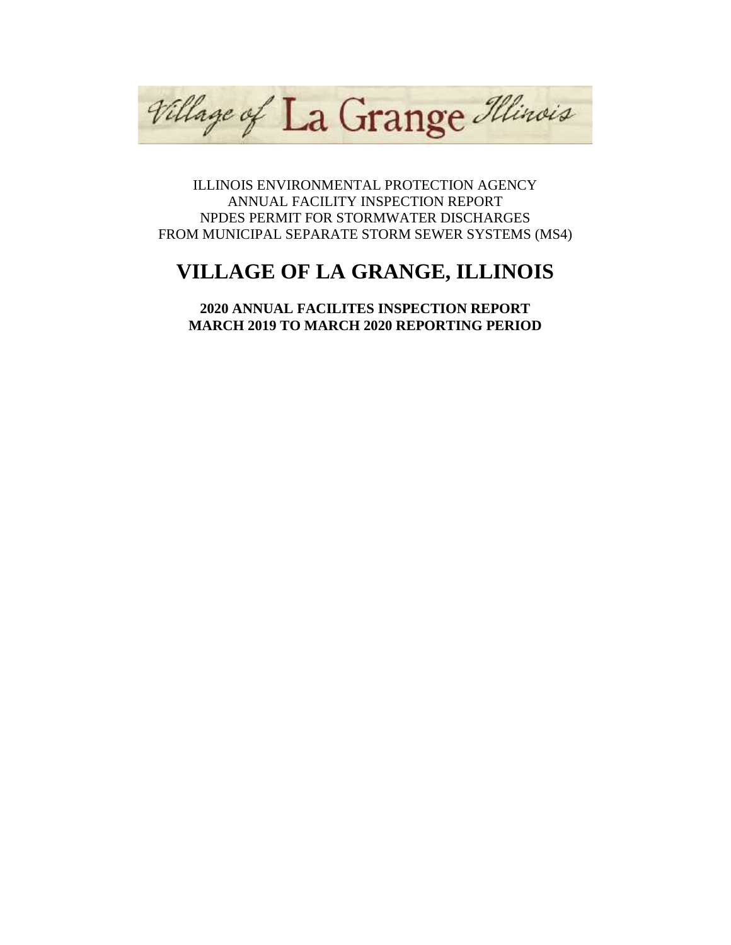Village of La Grange Illinois

ILLINOIS ENVIRONMENTAL PROTECTION AGENCY ANNUAL FACILITY INSPECTION REPORT NPDES PERMIT FOR STORMWATER DISCHARGES FROM MUNICIPAL SEPARATE STORM SEWER SYSTEMS (MS4)

# **VILLAGE OF LA GRANGE, ILLINOIS**

**2020 ANNUAL FACILITES INSPECTION REPORT MARCH 2019 TO MARCH 2020 REPORTING PERIOD**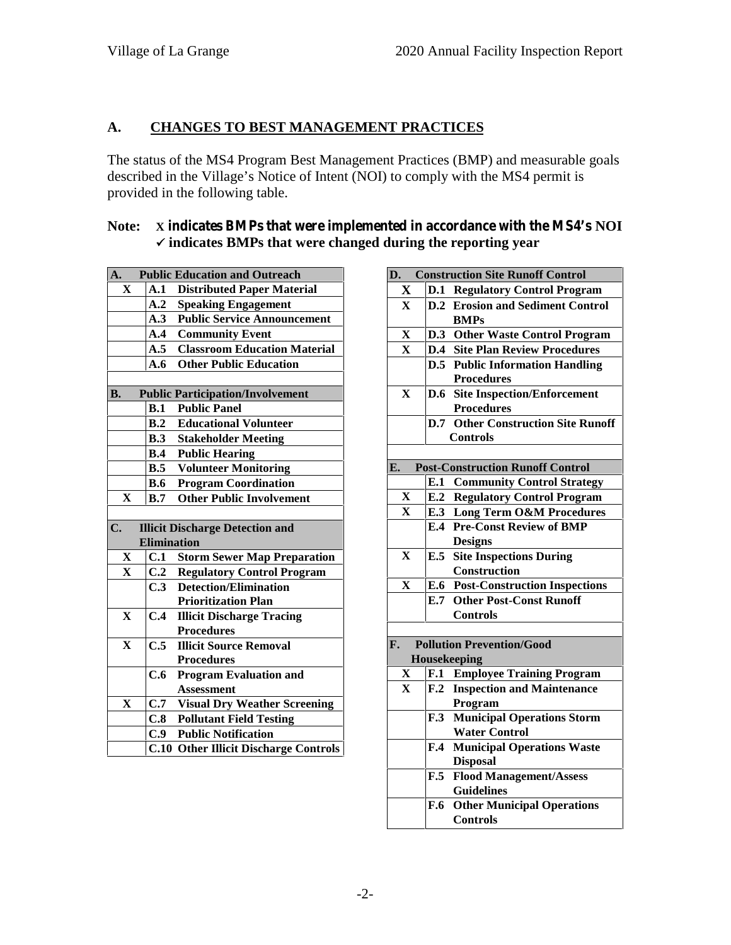## **A. CHANGES TO BEST MANAGEMENT PRACTICES**

The status of the MS4 Program Best Management Practices (BMP) and measurable goals described in the Village's Notice of Intent (NOI) to comply with the MS4 permit is provided in the following table.

#### **Note: X indicates BMPs that were implemented in accordance with the MS4's NOI indicates BMPs that were changed during the reporting year**

| A.            |                    | <b>Public Education and Outreach</b>    | D  |
|---------------|--------------------|-----------------------------------------|----|
| X             | A.1                | <b>Distributed Paper Material</b>       |    |
|               | A.2                | <b>Speaking Engagement</b>              |    |
|               | A.3                | <b>Public Service Announcement</b>      |    |
|               | $\mathbf{A.4}$     | <b>Community Event</b>                  |    |
|               | A.5                | <b>Classroom Education Material</b>     |    |
|               | A.6                | <b>Other Public Education</b>           |    |
|               |                    |                                         |    |
| <b>B.</b>     |                    | <b>Public Participation/Involvement</b> |    |
|               |                    | <b>B.1</b> Public Panel                 |    |
|               | B.2                | <b>Educational Volunteer</b>            |    |
|               | B.3                | <b>Stakeholder Meeting</b>              |    |
|               |                    | <b>B.4</b> Public Hearing               |    |
|               | B.5                | <b>Volunteer Monitoring</b>             | E. |
|               | <b>B.6</b>         | <b>Program Coordination</b>             |    |
| $\mathbf{X}$  | B.7                | <b>Other Public Involvement</b>         |    |
|               |                    |                                         |    |
| $C_{\bullet}$ |                    |                                         |    |
|               |                    | <b>Illicit Discharge Detection and</b>  |    |
|               | <b>Elimination</b> |                                         |    |
| $\mathbf X$   | C.1                | <b>Storm Sewer Map Preparation</b>      |    |
| $\mathbf X$   | C.2                | <b>Regulatory Control Program</b>       |    |
|               | C.3                | <b>Detection/Elimination</b>            |    |
|               |                    | <b>Prioritization Plan</b>              |    |
| $\mathbf{X}$  | C.4                | <b>Illicit Discharge Tracing</b>        |    |
|               |                    | <b>Procedures</b>                       |    |
| $\mathbf X$   | C.5                | <b>Illicit Source Removal</b>           | F. |
|               |                    | <b>Procedures</b>                       |    |
|               | C.6                | <b>Program Evaluation and</b>           |    |
|               |                    | <b>Assessment</b>                       |    |
| X             | C.7                | <b>Visual Dry Weather Screening</b>     |    |
|               | C.8                | <b>Pollutant Field Testing</b>          |    |
|               |                    | <b>C.9</b> Public Notification          |    |

| <b>Construction Site Runoff Control</b><br>D.                       |
|---------------------------------------------------------------------|
| $\mathbf X$<br><b>D.1 Regulatory Control Program</b>                |
| <b>D.2</b> Erosion and Sediment Control<br>X                        |
| <b>BMPs</b>                                                         |
| $\mathbf X$<br>D.3 Other Waste Control Program                      |
| <b>D.4</b> Site Plan Review Procedures<br>$\mathbf{X}$              |
| <b>D.5</b> Public Information Handling                              |
| <b>Procedures</b>                                                   |
| X<br><b>Site Inspection/Enforcement</b><br><b>D.6</b>               |
| <b>Procedures</b>                                                   |
| <b>Other Construction Site Runoff</b><br>D.7                        |
| <b>Controls</b>                                                     |
|                                                                     |
| <b>Post-Construction Runoff Control</b><br>E.                       |
| E.1<br><b>Community Control Strategy</b>                            |
| <b>E.2 Regulatory Control Program</b><br>X                          |
| <b>E.3 Long Term O&amp;M Procedures</b><br>$\mathbf{X}$             |
| <b>E.4 Pre-Const Review of BMP</b>                                  |
| <b>Designs</b>                                                      |
| <b>E.5</b> Site Inspections During<br>X<br>Construction             |
| <b>E.6</b> Post-Construction Inspections<br>$\mathbf X$             |
| <b>E.7 Other Post-Const Runoff</b>                                  |
| <b>Controls</b>                                                     |
|                                                                     |
| <b>Pollution Prevention/Good</b><br>F.                              |
| Housekeeping                                                        |
| X<br><b>Employee Training Program</b><br>F.1                        |
| $\mathbf{F.2}$<br><b>Inspection and Maintenance</b><br>$\mathbf{X}$ |
| Program                                                             |
| <b>Municipal Operations Storm</b><br>F.3                            |
| <b>Water Control</b>                                                |
| <b>Municipal Operations Waste</b><br>$\mathbf{F.4}$                 |
| <b>Disposal</b>                                                     |
| $\mathbf{F.5}$<br><b>Flood Management/Assess</b>                    |
| <b>Guidelines</b>                                                   |
| <b>Other Municipal Operations</b><br><b>F.6</b>                     |
| <b>Controls</b>                                                     |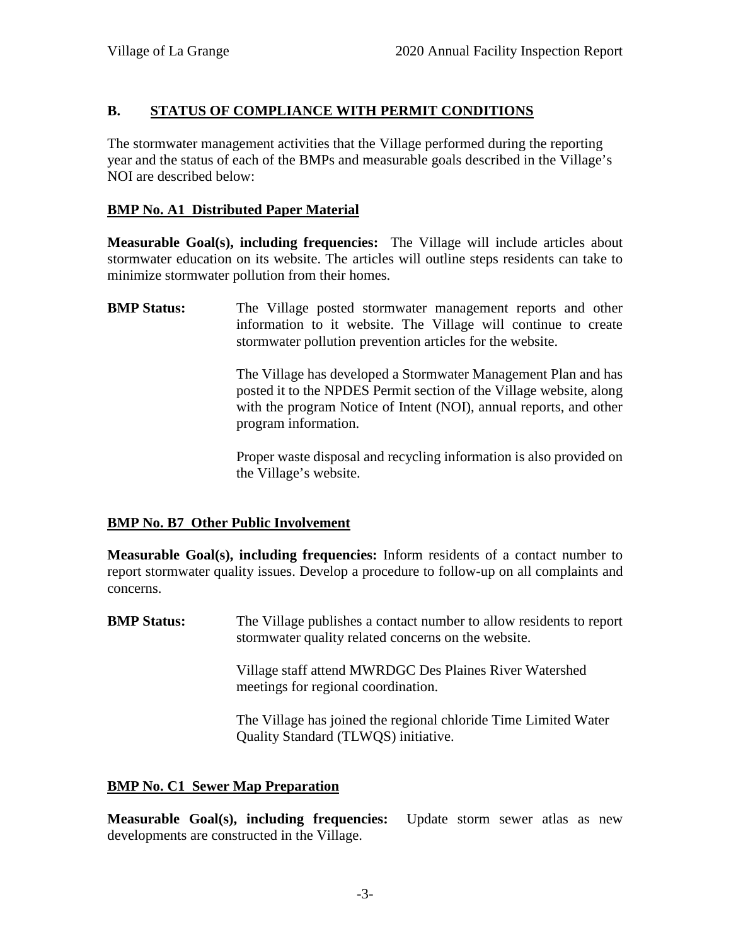## **B. STATUS OF COMPLIANCE WITH PERMIT CONDITIONS**

The stormwater management activities that the Village performed during the reporting year and the status of each of the BMPs and measurable goals described in the Village's NOI are described below:

## **BMP No. A1 Distributed Paper Material**

**Measurable Goal(s), including frequencies:** The Village will include articles about stormwater education on its website. The articles will outline steps residents can take to minimize stormwater pollution from their homes.

**BMP Status:** The Village posted stormwater management reports and other information to it website. The Village will continue to create stormwater pollution prevention articles for the website.

> The Village has developed a Stormwater Management Plan and has posted it to the NPDES Permit section of the Village website, along with the program Notice of Intent (NOI), annual reports, and other program information.

> Proper waste disposal and recycling information is also provided on the Village's website.

## **BMP No. B7 Other Public Involvement**

**Measurable Goal(s), including frequencies:** Inform residents of a contact number to report stormwater quality issues. Develop a procedure to follow-up on all complaints and concerns.

**BMP Status:** The Village publishes a contact number to allow residents to report stormwater quality related concerns on the website.

> Village staff attend MWRDGC Des Plaines River Watershed meetings for regional coordination.

The Village has joined the regional chloride Time Limited Water Quality Standard (TLWQS) initiative.

## **BMP No. C1 Sewer Map Preparation**

**Measurable Goal(s), including frequencies:** Update storm sewer atlas as new developments are constructed in the Village.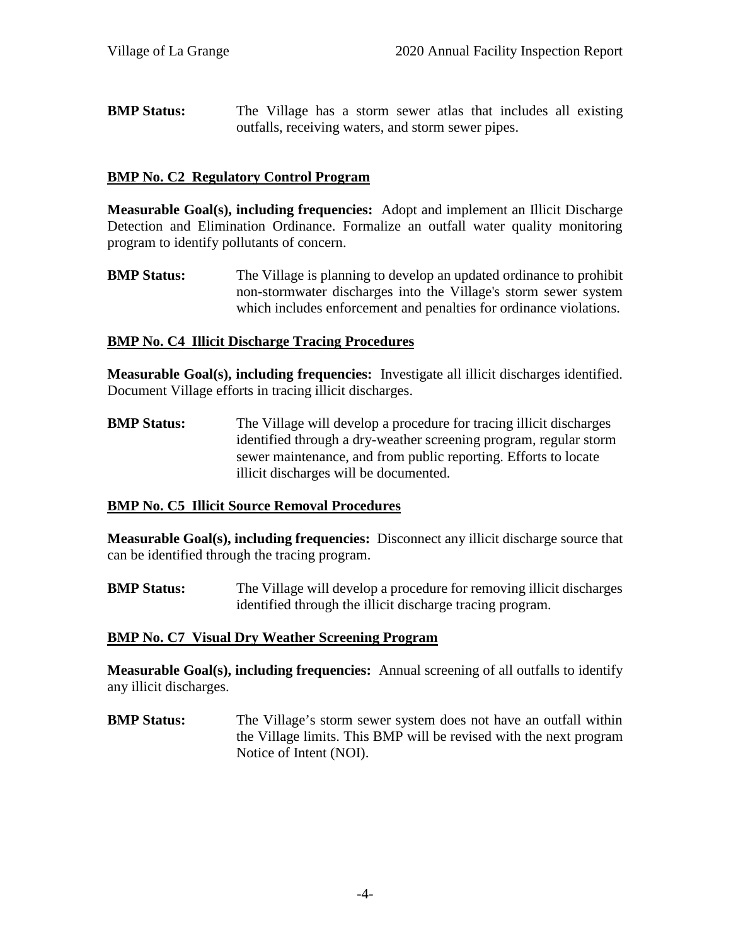**BMP Status:** The Village has a storm sewer atlas that includes all existing outfalls, receiving waters, and storm sewer pipes.

#### **BMP No. C2 Regulatory Control Program**

**Measurable Goal(s), including frequencies:** Adopt and implement an Illicit Discharge Detection and Elimination Ordinance. Formalize an outfall water quality monitoring program to identify pollutants of concern.

**BMP Status:** The Village is planning to develop an updated ordinance to prohibit non-stormwater discharges into the Village's storm sewer system which includes enforcement and penalties for ordinance violations.

#### **BMP No. C4 Illicit Discharge Tracing Procedures**

**Measurable Goal(s), including frequencies:** Investigate all illicit discharges identified. Document Village efforts in tracing illicit discharges.

**BMP Status:** The Village will develop a procedure for tracing illicit discharges identified through a dry-weather screening program, regular storm sewer maintenance, and from public reporting. Efforts to locate illicit discharges will be documented.

## **BMP No. C5 Illicit Source Removal Procedures**

**Measurable Goal(s), including frequencies:** Disconnect any illicit discharge source that can be identified through the tracing program.

**BMP Status:** The Village will develop a procedure for removing illicit discharges identified through the illicit discharge tracing program.

#### **BMP No. C7 Visual Dry Weather Screening Program**

**Measurable Goal(s), including frequencies:** Annual screening of all outfalls to identify any illicit discharges.

**BMP Status:** The Village's storm sewer system does not have an outfall within the Village limits. This BMP will be revised with the next program Notice of Intent (NOI).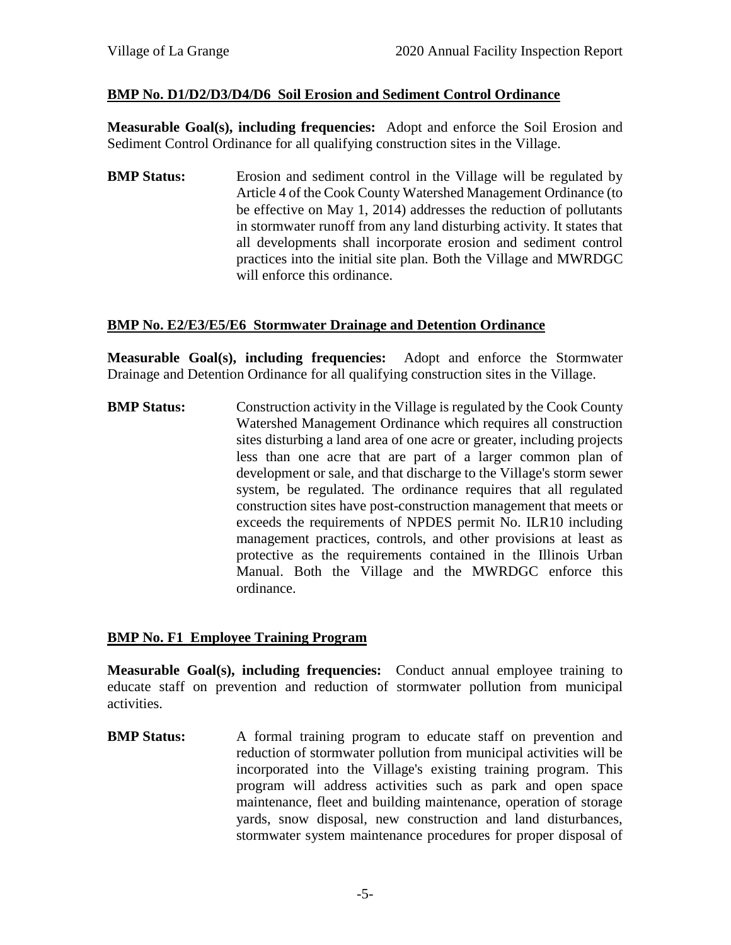## **BMP No. D1/D2/D3/D4/D6 Soil Erosion and Sediment Control Ordinance**

**Measurable Goal(s), including frequencies:** Adopt and enforce the Soil Erosion and Sediment Control Ordinance for all qualifying construction sites in the Village.

**BMP Status:** Erosion and sediment control in the Village will be regulated by Article 4 of the Cook County Watershed Management Ordinance (to be effective on May 1, 2014) addresses the reduction of pollutants in stormwater runoff from any land disturbing activity. It states that all developments shall incorporate erosion and sediment control practices into the initial site plan. Both the Village and MWRDGC will enforce this ordinance.

#### **BMP No. E2/E3/E5/E6 Stormwater Drainage and Detention Ordinance**

**Measurable Goal(s), including frequencies:** Adopt and enforce the Stormwater Drainage and Detention Ordinance for all qualifying construction sites in the Village.

**BMP Status:** Construction activity in the Village is regulated by the Cook County Watershed Management Ordinance which requires all construction sites disturbing a land area of one acre or greater, including projects less than one acre that are part of a larger common plan of development or sale, and that discharge to the Village's storm sewer system, be regulated. The ordinance requires that all regulated construction sites have post-construction management that meets or exceeds the requirements of NPDES permit No. ILR10 including management practices, controls, and other provisions at least as protective as the requirements contained in the Illinois Urban Manual. Both the Village and the MWRDGC enforce this ordinance.

## **BMP No. F1 Employee Training Program**

**Measurable Goal(s), including frequencies:** Conduct annual employee training to educate staff on prevention and reduction of stormwater pollution from municipal activities.

**BMP Status:** A formal training program to educate staff on prevention and reduction of stormwater pollution from municipal activities will be incorporated into the Village's existing training program. This program will address activities such as park and open space maintenance, fleet and building maintenance, operation of storage yards, snow disposal, new construction and land disturbances, stormwater system maintenance procedures for proper disposal of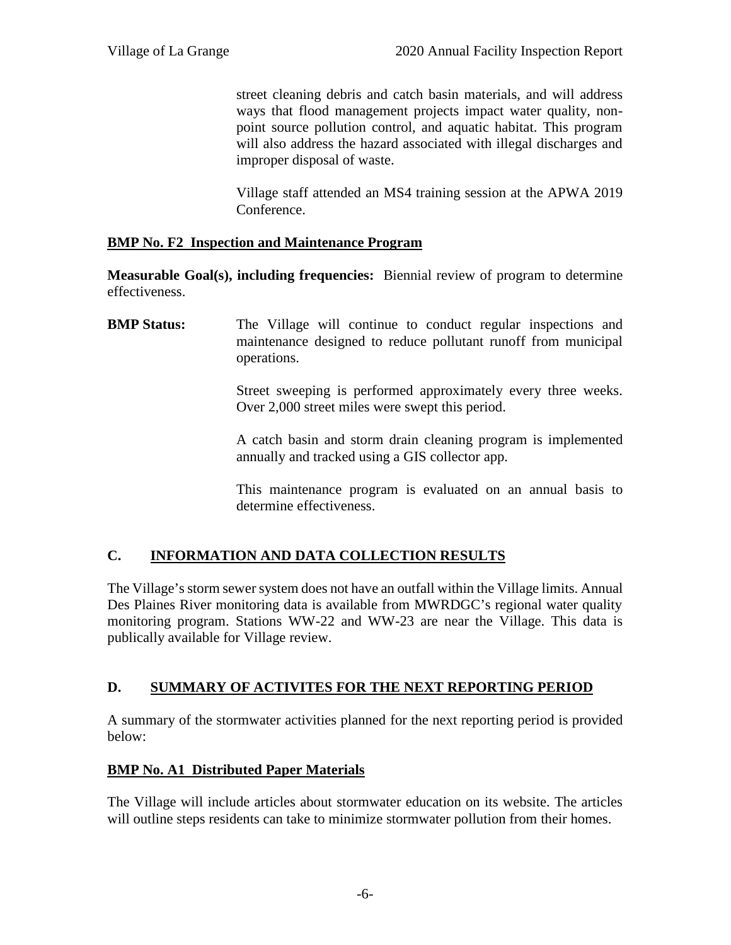street cleaning debris and catch basin materials, and will address ways that flood management projects impact water quality, non point source pollution control, and aquatic habitat. This program will also address the hazard associated with illegal discharges and improper disposal of waste.

Village staff attended an MS4 training session at the APWA 2019 Conference.

## **BMP No. F2 Inspection and Maintenance Program**

**Measurable Goal(s), including frequencies:** Biennial review of program to determine effectiveness.

**BMP Status:** The Village will continue to conduct regular inspections and maintenance designed to reduce pollutant runoff from municipal operations.

> Street sweeping is performed approximately every three weeks. Over 2,000 street miles were swept this period.

> A catch basin and storm drain cleaning program is implemented annually and tracked using a GIS collector app.

> This maintenance program is evaluated on an annual basis to determine effectiveness.

## **C. INFORMATION AND DATA COLLECTION RESULTS**

The Village's storm sewer system does not have an outfall within the Village limits. Annual Des Plaines River monitoring data is available from MWRDGC's regional water quality monitoring program. Stations WW-22 and WW-23 are near the Village. This data is publically available for Village review.

## **D. SUMMARY OF ACTIVITES FOR THE NEXT REPORTING PERIOD**

A summary of the stormwater activities planned for the next reporting period is provided below:

## **BMP No. A1 Distributed Paper Materials**

The Village will include articles about stormwater education on its website. The articles will outline steps residents can take to minimize stormwater pollution from their homes.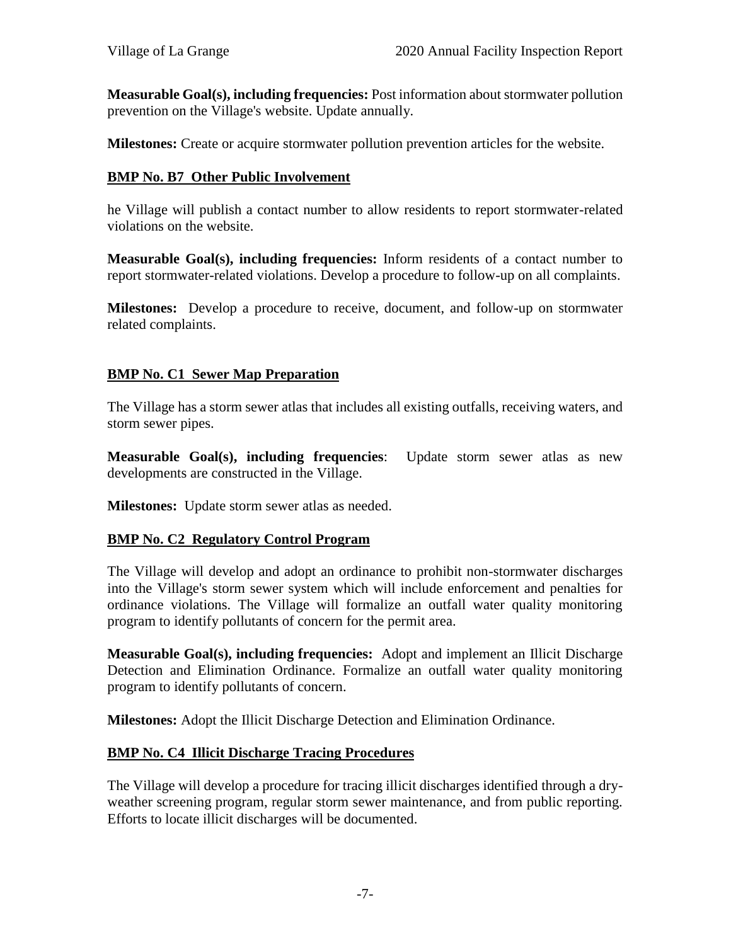**Measurable Goal(s), including frequencies:** Post information about stormwater pollution prevention on the Village's website. Update annually.

**Milestones:** Create or acquire stormwater pollution prevention articles for the website.

## **BMP No. B7 Other Public Involvement**

he Village will publish a contact number to allow residents to report stormwater-related violations on the website.

**Measurable Goal(s), including frequencies:** Inform residents of a contact number to report stormwater-related violations. Develop a procedure to follow-up on all complaints.

**Milestones:** Develop a procedure to receive, document, and follow-up on stormwater related complaints.

## **BMP No. C1 Sewer Map Preparation**

The Village has a storm sewer atlas that includes all existing outfalls, receiving waters, and storm sewer pipes.

**Measurable Goal(s), including frequencies**: Update storm sewer atlas as new developments are constructed in the Village.

**Milestones:** Update storm sewer atlas as needed.

## **BMP No. C2 Regulatory Control Program**

The Village will develop and adopt an ordinance to prohibit non-stormwater discharges into the Village's storm sewer system which will include enforcement and penalties for ordinance violations. The Village will formalize an outfall water quality monitoring program to identify pollutants of concern for the permit area.

**Measurable Goal(s), including frequencies:** Adopt and implement an Illicit Discharge Detection and Elimination Ordinance. Formalize an outfall water quality monitoring program to identify pollutants of concern.

**Milestones:** Adopt the Illicit Discharge Detection and Elimination Ordinance.

## **BMP No. C4 Illicit Discharge Tracing Procedures**

The Village will develop a procedure for tracing illicit discharges identified through a dry weather screening program, regular storm sewer maintenance, and from public reporting. Efforts to locate illicit discharges will be documented.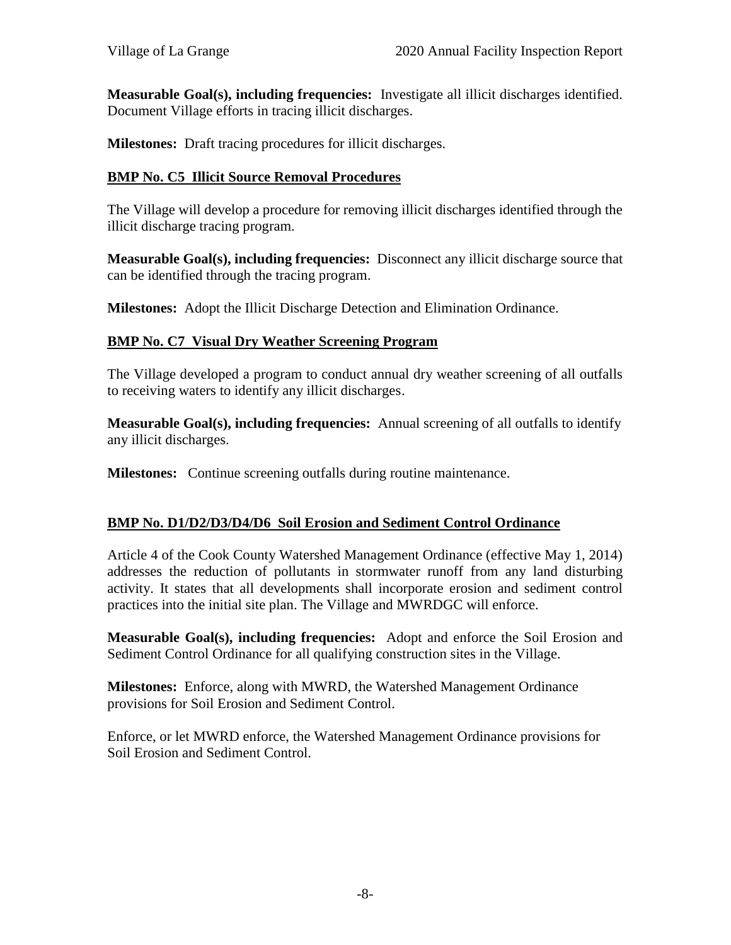**Measurable Goal(s), including frequencies:** Investigate all illicit discharges identified. Document Village efforts in tracing illicit discharges.

**Milestones:** Draft tracing procedures for illicit discharges.

#### **BMP No. C5 Illicit Source Removal Procedures**

The Village will develop a procedure for removing illicit discharges identified through the illicit discharge tracing program.

**Measurable Goal(s), including frequencies:** Disconnect any illicit discharge source that can be identified through the tracing program.

**Milestones:** Adopt the Illicit Discharge Detection and Elimination Ordinance.

#### **BMP No. C7 Visual Dry Weather Screening Program**

The Village developed a program to conduct annual dry weather screening of all outfalls to receiving waters to identify any illicit discharges.

**Measurable Goal(s), including frequencies:** Annual screening of all outfalls to identify any illicit discharges.

**Milestones:** Continue screening outfalls during routine maintenance.

## **BMP No. D1/D2/D3/D4/D6 Soil Erosion and Sediment Control Ordinance**

Article 4 of the Cook County Watershed Management Ordinance (effective May 1, 2014) addresses the reduction of pollutants in stormwater runoff from any land disturbing activity. It states that all developments shall incorporate erosion and sediment control practices into the initial site plan. The Village and MWRDGC will enforce.

**Measurable Goal(s), including frequencies:** Adopt and enforce the Soil Erosion and Sediment Control Ordinance for all qualifying construction sites in the Village.

**Milestones:** Enforce, along with MWRD, the Watershed Management Ordinance provisions for Soil Erosion and Sediment Control.

Enforce, or let MWRD enforce, the Watershed Management Ordinance provisions for Soil Erosion and Sediment Control.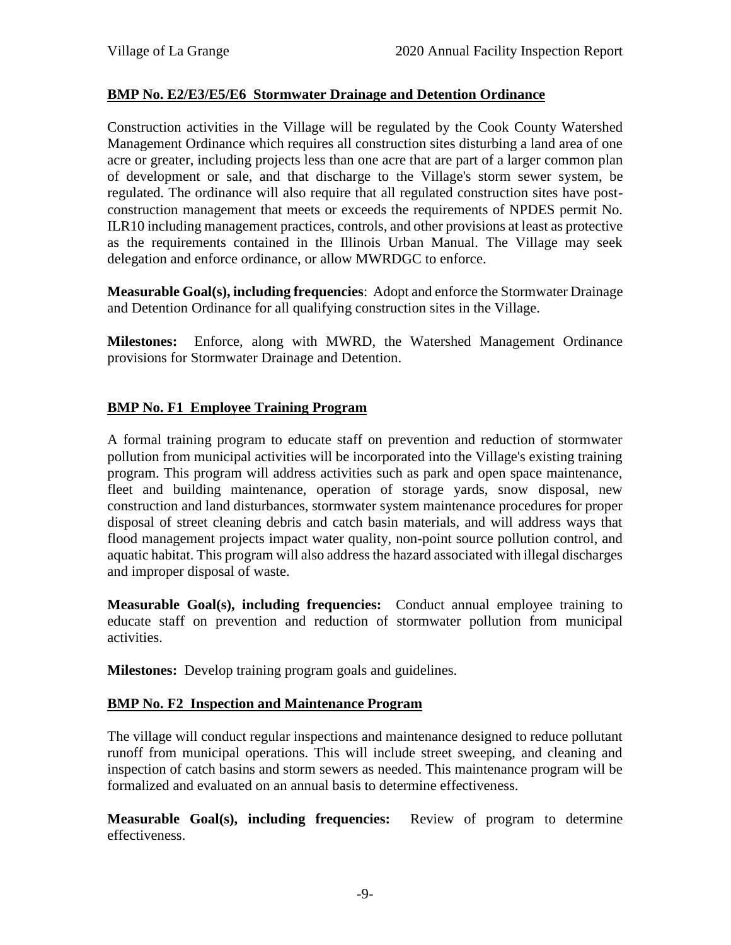## **BMP No. E2/E3/E5/E6 Stormwater Drainage and Detention Ordinance**

Construction activities in the Village will be regulated by the Cook County Watershed Management Ordinance which requires all construction sites disturbing a land area of one acre or greater, including projects less than one acre that are part of a larger common plan of development or sale, and that discharge to the Village's storm sewer system, be regulated. The ordinance will also require that all regulated construction sites have post construction management that meets or exceeds the requirements of NPDES permit No. ILR10 including management practices, controls, and other provisions at least as protective as the requirements contained in the Illinois Urban Manual. The Village may seek delegation and enforce ordinance, or allow MWRDGC to enforce.

**Measurable Goal(s), including frequencies**: Adopt and enforce the Stormwater Drainage and Detention Ordinance for all qualifying construction sites in the Village.

**Milestones:** Enforce, along with MWRD, the Watershed Management Ordinance provisions for Stormwater Drainage and Detention.

## **BMP No. F1 Employee Training Program**

A formal training program to educate staff on prevention and reduction of stormwater pollution from municipal activities will be incorporated into the Village's existing training program. This program will address activities such as park and open space maintenance, fleet and building maintenance, operation of storage yards, snow disposal, new construction and land disturbances, stormwater system maintenance procedures for proper disposal of street cleaning debris and catch basin materials, and will address ways that flood management projects impact water quality, non-point source pollution control, and aquatic habitat. This program will also address the hazard associated with illegal discharges and improper disposal of waste.

**Measurable Goal(s), including frequencies:** Conduct annual employee training to educate staff on prevention and reduction of stormwater pollution from municipal activities.

**Milestones:** Develop training program goals and guidelines.

## **BMP No. F2 Inspection and Maintenance Program**

The village will conduct regular inspections and maintenance designed to reduce pollutant runoff from municipal operations. This will include street sweeping, and cleaning and inspection of catch basins and storm sewers as needed. This maintenance program will be formalized and evaluated on an annual basis to determine effectiveness.

**Measurable Goal(s), including frequencies:** Review of program to determine effectiveness.